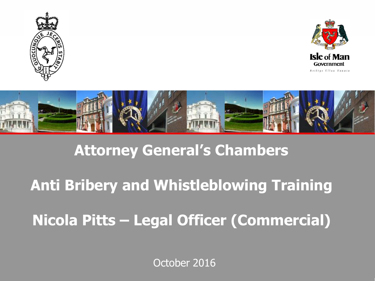





#### **Attorney General's Chambers**

### **Anti Bribery and Whistleblowing Training**

### **Nicola Pitts – Legal Officer (Commercial)**

October 2016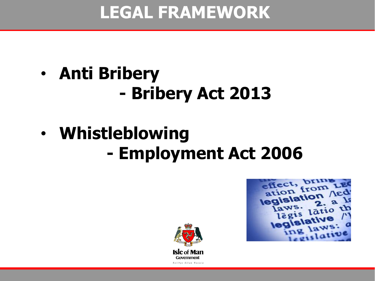### **LEGAL FRAMEWORK**

# • **Anti Bribery - Bribery Act 2013**

# • **Whistleblowing - Employment Act 2006**

effect, br ation from legislation aws. latio

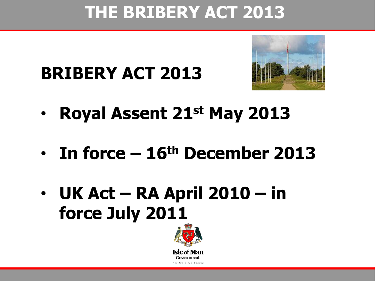### **THE BRIBERY ACT 2013**

# **BRIBERY ACT 2013**



- **Royal Assent 21st May 2013**
- **In force – 16th December 2013**
- **UK Act – RA April 2010 – in force July 2011**

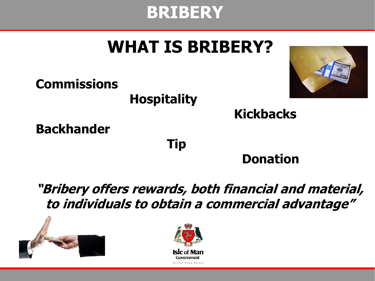### **BRIBERY**

## **WHAT IS BRIBERY?**



#### **Kickbacks**

**Backhander**

**Commissions**

**Tip**

**Hospitality**

#### **Donation**

**"Bribery offers rewards, both financial and material, to individuals to obtain a commercial advantage"**



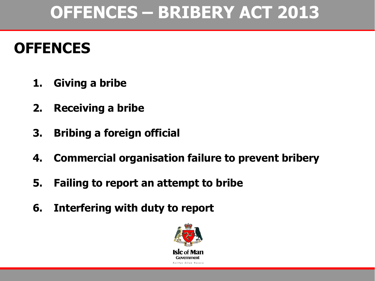## **OFFENCES – BRIBERY ACT 2013**

#### **OFFENCES**

- **1. Giving a bribe**
- **2. Receiving a bribe**
- **3. Bribing a foreign official**
- **4. Commercial organisation failure to prevent bribery**
- **5. Failing to report an attempt to bribe**
- **6. Interfering with duty to report**

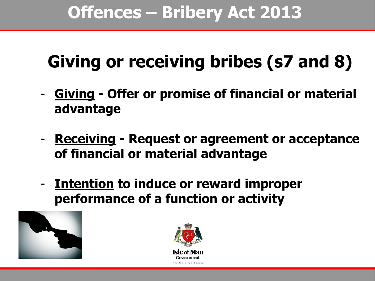# **Giving or receiving bribes (s7 and 8)**

- **Giving - Offer or promise of financial or material advantage**
- **Receiving - Request or agreement or acceptance of financial or material advantage**
- **Intention to induce or reward improper performance of a function or activity**



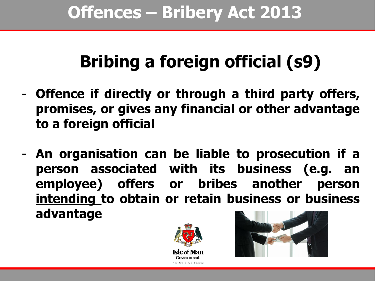# **Bribing a foreign official (s9)**

- **Offence if directly or through a third party offers, promises, or gives any financial or other advantage to a foreign official**
- **An organisation can be liable to prosecution if a person associated with its business (e.g. an employee) offers or bribes another person intending to obtain or retain business or business advantage**



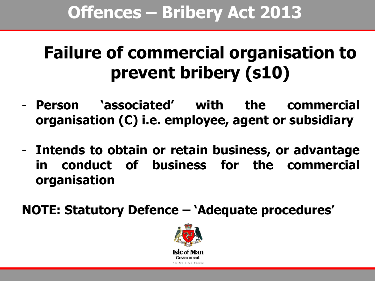## **Failure of commercial organisation to prevent bribery (s10)**

- **Person 'associated' with the commercial organisation (C) i.e. employee, agent or subsidiary**
- **Intends to obtain or retain business, or advantage in conduct of business for the commercial organisation**

**NOTE: Statutory Defence – 'Adequate procedures'**

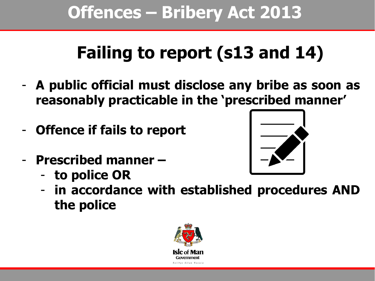## **Offences – Bribery Act 2013**

# **Failing to report (s13 and 14)**

- **A public official must disclose any bribe as soon as reasonably practicable in the 'prescribed manner'**
- **Offence if fails to report**
- **Prescribed manner –**
	- **to police OR**



- **in accordance with established procedures AND the police**

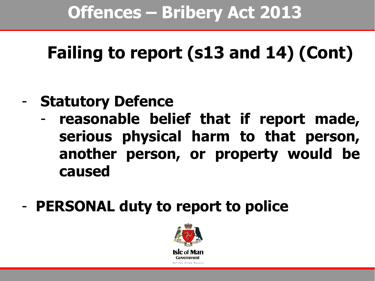# **Failing to report (s13 and 14) (Cont)**

- **Statutory Defence**
	- **reasonable belief that if report made, serious physical harm to that person, another person, or property would be caused**
- **PERSONAL duty to report to police**

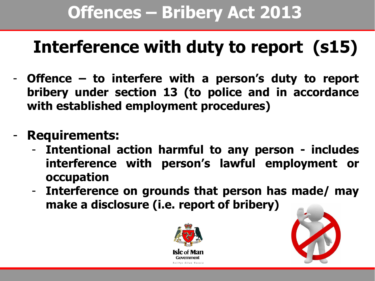## **Offences – Bribery Act 2013**

# **Interference with duty to report (s15)**

- **Offence – to interfere with a person's duty to report bribery under section 13 (to police and in accordance with established employment procedures)**
- **Requirements:**
	- **Intentional action harmful to any person - includes interference with person's lawful employment or occupation**
	- **Interference on grounds that person has made/ may make a disclosure (i.e. report of bribery)**



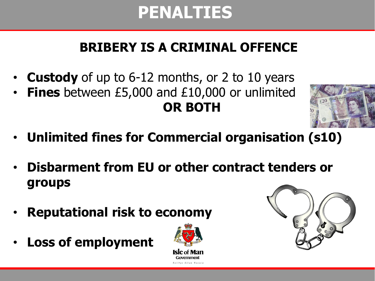### **PENALTIES**

#### **BRIBERY IS A CRIMINAL OFFENCE**

- **Custody** of up to 6-12 months, or 2 to 10 years
- **Fines** between £5,000 and £10,000 or unlimited **OR BOTH**



- **Unlimited fines for Commercial organisation (s10)**
- **Disbarment from EU or other contract tenders or groups**
- **Reputational risk to economy**
- **Loss of employment**



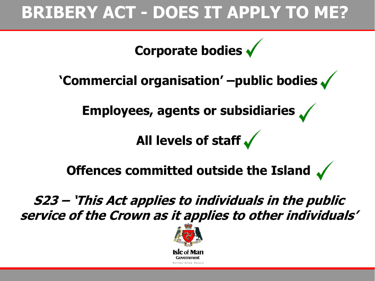### **BRIBERY ACT - DOES IT APPLY TO ME?**

**Corporate bodies**

**'Commercial organisation' –public bodies** 

**Employees, agents or subsidiaries**

**All levels of staff** 

**Offences committed outside the Island**  $\sqrt{ }$ 

**S23 – 'This Act applies to individuals in the public service of the Crown as it applies to other individuals'**

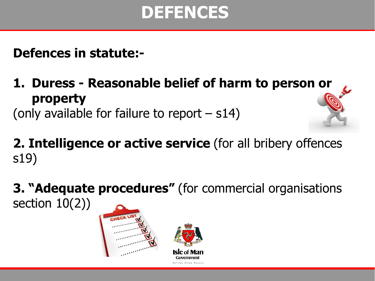### **DEFENCES**

**Defences in statute:-**

**1. Duress - Reasonable belief of harm to person or property**  (only available for failure to report – s14)

**2. Intelligence or active service** (for all bribery offences s19)

**3. "Adequate procedures"** (for commercial organisations section 10(2))



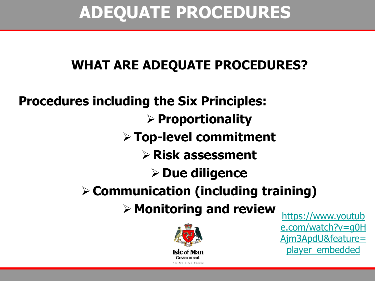### **ADEQUATE PROCEDURES**

#### **WHAT ARE ADEQUATE PROCEDURES?**

**Procedures including the Six Principles: Proportionality Top-level commitment Risk assessment Due diligence Communication (including training) Example 7 and review Alterally Monitoring and review** 



[e.com/watch?v=g0H](https://www.youtube.com/watch?v=g0HAjm3ApdU&feature=player_embedded) [Ajm3ApdU&feature=](https://www.youtube.com/watch?v=g0HAjm3ApdU&feature=player_embedded) [player\\_embedded](https://www.youtube.com/watch?v=g0HAjm3ApdU&feature=player_embedded)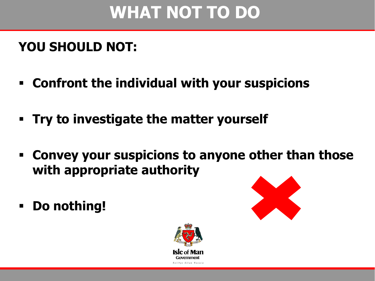## **WHAT NOT TO DO**

#### **YOU SHOULD NOT:**

- **Confront the individual with your suspicions**
- **Try to investigate the matter yourself**
- **Convey your suspicions to anyone other than those with appropriate authority**
- **Do nothing!**



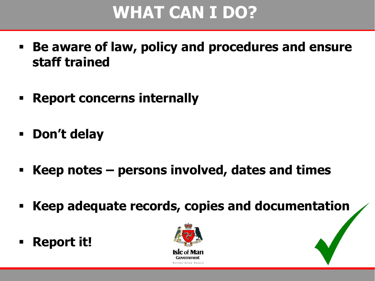## **WHAT CAN I DO?**

- **Be aware of law, policy and procedures and ensure staff trained**
- **Report concerns internally**
- **Don't delay**
- **Keep notes – persons involved, dates and times**
- **Keep adequate records, copies and documentation**
- **Report it!**

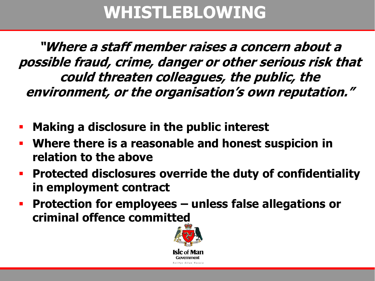### **WHISTLEBLOWING**

**"Where a staff member raises a concern about a possible fraud, crime, danger or other serious risk that could threaten colleagues, the public, the environment, or the organisation's own reputation."**

- **Making a disclosure in the public interest**
- **Where there is a reasonable and honest suspicion in relation to the above**
- **Protected disclosures override the duty of confidentiality in employment contract**
- **Protection for employees – unless false allegations or criminal offence committed**

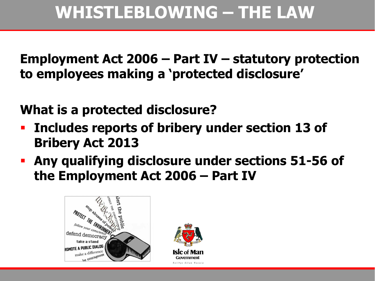**Employment Act 2006 – Part IV – statutory protection to employees making a 'protected disclosure'**

**What is a protected disclosure?**

- **Includes reports of bribery under section 13 of Bribery Act 2013**
- **Any qualifying disclosure under sections 51-56 of the Employment Act 2006 – Part IV**



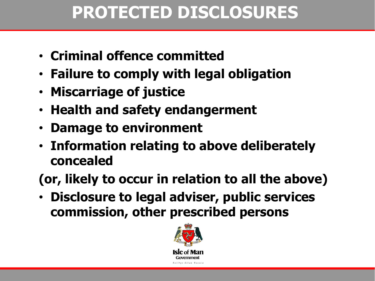## **PROTECTED DISCLOSURES**

- **Criminal offence committed**
- **Failure to comply with legal obligation**
- **Miscarriage of justice**
- **Health and safety endangerment**
- **Damage to environment**
- **Information relating to above deliberately concealed**

**(or, likely to occur in relation to all the above)**

• **Disclosure to legal adviser, public services commission, other prescribed persons**

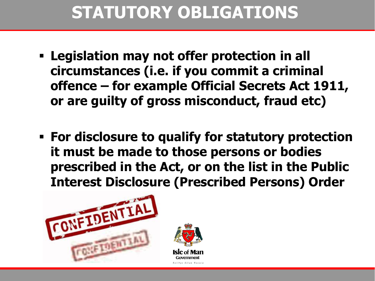## **STATUTORY OBLIGATIONS**

- **Legislation may not offer protection in all circumstances (i.e. if you commit a criminal offence – for example Official Secrets Act 1911, or are guilty of gross misconduct, fraud etc)**
- **For disclosure to qualify for statutory protection it must be made to those persons or bodies prescribed in the Act, or on the list in the Public Interest Disclosure (Prescribed Persons) Order**

Reiltys Ellan Vannin

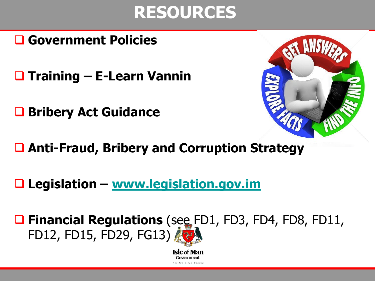### **RESOURCES**

#### **Government Policies**

**Training – E-Learn Vannin**

**Bribery Act Guidance**



- **Anti-Fraud, Bribery and Corruption Strategy**
- **Legislation – [www.legislation.gov.im](http://www.legislation.gov.im/)**

■ Financial Regulations (see FD1, FD3, FD4, FD8, FD11, FD12, FD15, FD29, FG13)

> **Isle** of Man Government **Reiltus Ellan Vannis**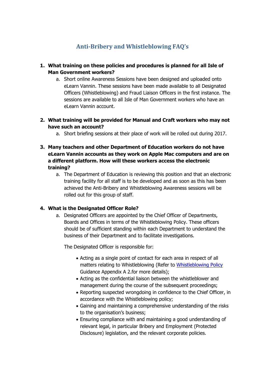#### **Anti-Bribery and Whistleblowing FAQ's**

#### **1. What training on these policies and procedures is planned for all Isle of Man Government workers?**

- a. Short online Awareness Sessions have been designed and uploaded onto eLearn Vannin. These sessions have been made available to all Designated Officers (Whistleblowing) and Fraud Liaison Officers in the first instance. The sessions are available to all Isle of Man Government workers who have an eLearn Vannin account.
- **2. What training will be provided for Manual and Craft workers who may not have such an account?**
	- a. Short briefing sessions at their place of work will be rolled out during 2017.
- **3. Many teachers and other Department of Education workers do not have eLearn Vannin accounts as they work on Apple Mac computers and are on a different platform. How will these workers access the electronic training?**
	- a. The Department of Education is reviewing this position and that an electronic training facility for all staff is to be developed and as soon as this has been achieved the Anti-Bribery and Whistleblowing Awareness sessions will be rolled out for this group of staff.

#### **4. What is the Designated Officer Role?**

a. Designated Officers are appointed by the Chief Officer of Departments, Boards and Offices in terms of the Whistleblowing Policy. These officers should be of sufficient standing within each Department to understand the business of their Department and to facilitate investigations.

The Designated Officer is responsible for:

- Acting as a single point of contact for each area in respect of all matters relating to Whistleblowing (Refer to [Whistleblowing Policy](https://www.gov.im/lib/docs/hr/ERP/whistleblowingpolicyfinalrevised.pdf) Guidance Appendix A 2.for more details);
- Acting as the confidential liaison between the whistleblower and management during the course of the subsequent proceedings;
- Reporting suspected wrongdoing in confidence to the Chief Officer, in accordance with the Whistleblowing policy;
- Gaining and maintaining a comprehensive understanding of the risks to the organisation's business;
- Ensuring compliance with and maintaining a good understanding of relevant legal, in particular Bribery and Employment (Protected Disclosure) legislation, and the relevant corporate policies.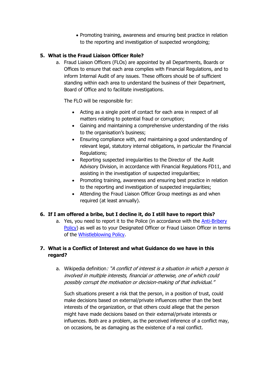• Promoting training, awareness and ensuring best practice in relation to the reporting and investigation of suspected wrongdoing;

#### **5. What is the Fraud Liaison Officer Role?**

a. Fraud Liaison Officers (FLOs) are appointed by all Departments, Boards or Offices to ensure that each area complies with Financial Regulations, and to inform Internal Audit of any issues. These officers should be of sufficient standing within each area to understand the business of their Department, Board of Office and to facilitate investigations.

The FLO will be responsible for:

- Acting as a single point of contact for each area in respect of all matters relating to potential fraud or corruption;
- Gaining and maintaining a comprehensive understanding of the risks to the organisation's business;
- Ensuring compliance with, and maintaining a good understanding of relevant legal, statutory internal obligations, in particular the Financial Regulations;
- Reporting suspected irregularities to the Director of the Audit Advisory Division, in accordance with Financial Regulations FD11, and assisting in the investigation of suspected irregularities;
- Promoting training, awareness and ensuring best practice in relation to the reporting and investigation of suspected irregularities;
- Attending the Fraud Liaison Officer Group meetings as and when required (at least annually).

#### **6. If I am offered a bribe, but I decline it, do I still have to report this?**

a. Yes, you need to report it to the Police (in accordance with the [Anti-Bribery](https://www.gov.im/lib/docs/hr/HR_Policies/antibriberypolicyfinal52016.pdf)  [Policy\)](https://www.gov.im/lib/docs/hr/HR_Policies/antibriberypolicyfinal52016.pdf) as well as to your Designated Officer or Fraud Liaison Officer in terms of the [Whistleblowing Policy.](https://www.gov.im/lib/docs/hr/ERP/whistleblowingpolicyfinalrevised.pdf)

#### **7. What is a Conflict of Interest and what Guidance do we have in this regard?**

a. Wikipedia definition: "A conflict of interest is a situation in which a person is involved in multiple interests, financial or otherwise, one of which could possibly corrupt the motivation or decision-making of that individual."

Such situations present a risk that the person, in a position of trust, could make decisions based on external/private influences rather than the best interests of the organization, or that others could allege that the person might have made decisions based on their external/private interests or influences. Both are a problem, as the perceived inference of a conflict may, on occasions, be as damaging as the existence of a real conflict.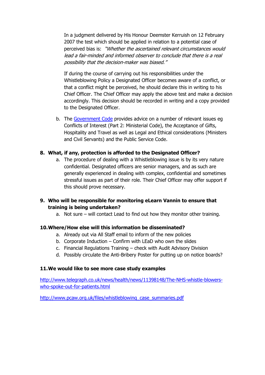In a judgment delivered by His Honour Deemster Kerruish on 12 February 2007 the test which should be applied in relation to a potential case of perceived bias is: "Whether the ascertained relevant circumstances would lead a fair-minded and informed observer to conclude that there is a real possibility that the decision-maker was biased."

If during the course of carrying out his responsibilities under the Whistleblowing Policy a Designated Officer becomes aware of a conflict, or that a conflict might be perceived, he should declare this in writing to his Chief Officer. The Chief Officer may apply the above test and make a decision accordingly. This decision should be recorded in writing and a copy provided to the Designated Officer.

b. The [Government Code](https://www.gov.im/lib/docs/hr/ERP/codeofconductforpublicservants.pdf) provides advice on a number of relevant issues eg Conflicts of Interest (Part 2: Ministerial Code), the Acceptance of Gifts, Hospitality and Travel as well as Legal and Ethical considerations (Ministers and Civil Servants) and the Public Service Code.

#### **8. What, if any, protection is afforded to the Designated Officer?**

a. The procedure of dealing with a Whistleblowing issue is by its very nature confidential. Designated officers are senior managers, and as such are generally experienced in dealing with complex, confidential and sometimes stressful issues as part of their role. Their Chief Officer may offer support if this should prove necessary.

#### **9. Who will be responsible for monitoring eLearn Vannin to ensure that training is being undertaken?**

a. Not sure – will contact Lead to find out how they monitor other training.

#### **10.Where/How else will this information be disseminated?**

- a. Already out via All Staff email to inform of the new policies
- b. Corporate Induction Confirm with LEaD who own the slides
- c. Financial Regulations Training check with Audit Advisory Division
- d. Possibly circulate the Anti-Bribery Poster for putting up on notice boards?

#### **11.We would like to see more case study examples**

[http://www.telegraph.co.uk/news/health/news/11398148/The-NHS-whistle-blowers](http://www.telegraph.co.uk/news/health/news/11398148/The-NHS-whistle-blowers-who-spoke-out-for-patients.html)[who-spoke-out-for-patients.html](http://www.telegraph.co.uk/news/health/news/11398148/The-NHS-whistle-blowers-who-spoke-out-for-patients.html)

[http://www.pcaw.org.uk/files/whistleblowing\\_case\\_summaries.pdf](http://www.pcaw.org.uk/files/whistleblowing_case_summaries.pdf)